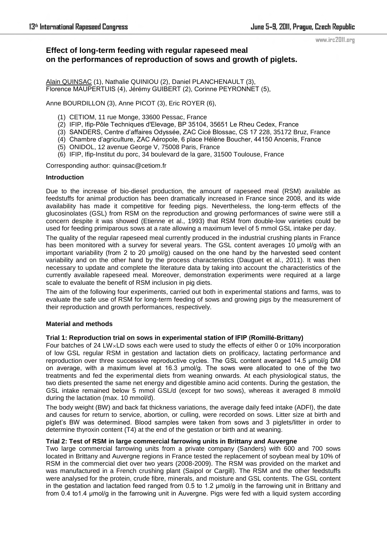www.irc2011.org

# **Effect of long-term feeding with regular rapeseed meal on the performances of reproduction of sows and growth of piglets.**

Alain QUINSAC (1), Nathalie QUINIOU (2), Daniel PLANCHENAULT (3), Florence MAUPERTUIS (4), Jérémy GUIBERT (2), Corinne PEYRONNET (5),

Anne BOURDILLON (3), Anne PICOT (3), Eric ROYER (6),

- (1) CETIOM, 11 rue Monge, 33600 Pessac, France
- (2) IFIP, Ifip-Pôle Techniques d'Elevage, BP 35104, 35651 Le Rheu Cedex, France
- (3) SANDERS, Centre d'affaires Odyssée, ZAC Cicé Blossac, CS 17 228, 35172 Bruz, France
- (4) Chambre d'agriculture, ZAC Aéropole, 6 place Hélène Boucher, 44150 Ancenis, France
- (5) ONIDOL, 12 avenue George V, 75008 Paris, France
- (6) IFIP, Ifip-Institut du porc, 34 boulevard de la gare, 31500 Toulouse, France

Corresponding author: [quinsac@cetiom.fr](mailto:quinsac@cetiom.fr)

## **Introduction**

Due to the increase of bio-diesel production, the amount of rapeseed meal (RSM) available as feedstuffs for animal production has been dramatically increased in France since 2008, and its wide availability has made it competitive for feeding pigs. Nevertheless, the long-term effects of the glucosinolates (GSL) from RSM on the reproduction and growing performances of swine were still a concern despite it was showed (Etienne et al., 1993) that RSM from double-low varieties could be used for feeding primiparous sows at a rate allowing a maximum level of 5 mmol GSL intake per day.

The quality of the regular rapeseed meal currently produced in the industrial crushing plants in France has been monitored with a survey for several years. The GSL content averages 10 µmol/g with an important variability (from 2 to 20 µmol/g) caused on the one hand by the harvested seed content variability and on the other hand by the process characteristics (Dauguet et al., 2011). It was then necessary to update and complete the literature data by taking into account the characteristics of the currently available rapeseed meal. Moreover, demonstration experiments were required at a large scale to evaluate the benefit of RSM inclusion in pig diets.

The aim of the following four experiments, carried out both in experimental stations and farms, was to evaluate the safe use of RSM for long-term feeding of sows and growing pigs by the measurement of their reproduction and growth performances, respectively.

### **Material and methods**

#### **Trial 1: Reproduction trial on sows in experimental station of IFIP (Romillé-Brittany)**

Four batches of 24 LW×LD sows each were used to study the effects of either 0 or 10% incorporation of low GSL regular RSM in gestation and lactation diets on prolificacy, lactating performance and reproduction over three successive reproductive cycles. The GSL content averaged 14.5 µmol/g DM on average, with a maximum level at 16.3 µmol/g. The sows were allocated to one of the two treatments and fed the experimental diets from weaning onwards. At each physiological status, the two diets presented the same net energy and digestible amino acid contents. During the gestation, the GSL intake remained below 5 mmol GSL/d (except for two sows), whereas it averaged 8 mmol/d during the lactation (max. 10 mmol/d).

The body weight (BW) and back fat thickness variations, the average daily feed intake (ADFI), the date and causes for return to service, abortion, or culling, were recorded on sows. Litter size at birth and piglet's BW was determined. Blood samples were taken from sows and 3 piglets/litter in order to determine thyroxin content (T4) at the end of the gestation or birth and at weaning.

#### **Trial 2: Test of RSM in large commercial farrowing units in Brittany and Auvergne**

Two large commercial farrowing units from a private company (Sanders) with 600 and 700 sows located in Brittany and Auvergne regions in France tested the replacement of soybean meal by 10% of RSM in the commercial diet over two years (2008-2009). The RSM was provided on the market and was manufactured in a French crushing plant (Saipol or Cargill). The RSM and the other feedstuffs were analysed for the protein, crude fibre, minerals, and moisture and GSL contents. The GSL content in the gestation and lactation feed ranged from 0.5 to 1.2 µmol/g in the farrowing unit in Brittany and from 0.4 to1.4 µmol/g in the farrowing unit in Auvergne. Pigs were fed with a liquid system according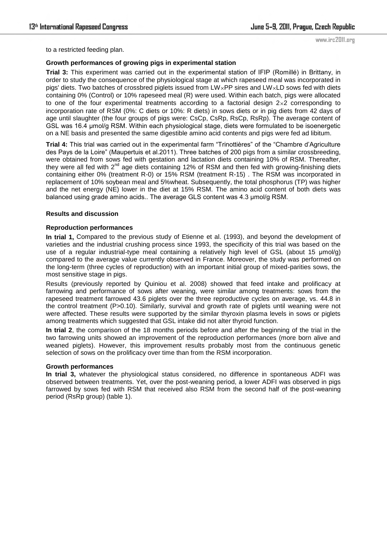www.irc2011.org

to a restricted feeding plan.

#### **Growth performances of growing pigs in experimental station**

**Trial 3:** This experiment was carried out in the experimental station of IFIP (Romillé) in Brittany, in order to study the consequence of the physiological stage at which rapeseed meal was incorporated in pigs' diets. Two batches of crossbred piglets issued from  $LW_{\chi}PP$  sires and  $LW_{\chi}LD$  sows fed with diets containing 0% (Control) or 10% rapeseed meal (R) were used. Within each batch, pigs were allocated to one of the four experimental treatments according to a factorial design  $2\times 2$  corresponding to incorporation rate of RSM (0%: C diets or 10%: R diets) in sows diets or in pig diets from 42 days of age until slaughter (the four groups of pigs were: CsCp, CsRp, RsCp, RsRp). The average content of GSL was 16.4 µmol/g RSM. Within each physiological stage, diets were formulated to be isoenergetic on a NE basis and presented the same digestible amino acid contents and pigs were fed ad libitum.

**Trial 4:** This trial was carried out in the experimental farm "Trinottières" of the "Chambre d'Agriculture des Pays de la Loire" (Maupertuis et al.2011). Three batches of 200 pigs from a similar crossbreeding, were obtained from sows fed with gestation and lactation diets containing 10% of RSM. Thereafter, they were all fed with  $2^{nd}$  age diets containing 12% of RSM and then fed with growing-finishing diets containing either 0% (treatment R-0) or 15% RSM (treatment R-15) . The RSM was incorporated in replacement of 10% soybean meal and 5%wheat. Subsequently, the total phosphorus (TP) was higher and the net energy (NE) lower in the diet at 15% RSM. The amino acid content of both diets was balanced using grade amino acids.. The average GLS content was 4.3  $\mu$ mol/g RSM.

#### **Results and discussion**

#### **Reproduction performances**

**In trial 1,** Compared to the previous study of Etienne et al. (1993), and beyond the development of varieties and the industrial crushing process since 1993, the specificity of this trial was based on the use of a regular industrial-type meal containing a relatively high level of GSL (about 15 µmol/g) compared to the average value currently observed in France. Moreover, the study was performed on the long-term (three cycles of reproduction) with an important initial group of mixed-parities sows, the most sensitive stage in pigs.

Results (previously reported by Quiniou et al. 2008) showed that feed intake and prolificacy at farrowing and performance of sows after weaning, were similar among treatments: sows from the rapeseed treatment farrowed 43.6 piglets over the three reproductive cycles on average, vs. 44.8 in the control treatment (P>0.10). Similarly, survival and growth rate of piglets until weaning were not were affected. These results were supported by the similar thyroxin plasma levels in sows or piglets among treatments which suggested that GSL intake did not alter thyroid function.

**In trial 2**, the comparison of the 18 months periods before and after the beginning of the trial in the two farrowing units showed an improvement of the reproduction performances (more born alive and weaned piglets). However, this improvement results probably most from the continuous genetic selection of sows on the prolificacy over time than from the RSM incorporation.

#### **Growth performances**

**In trial 3,** whatever the physiological status considered, no difference in spontaneous ADFI was observed between treatments. Yet, over the post-weaning period, a lower ADFI was observed in pigs farrowed by sows fed with RSM that received also RSM from the second half of the post-weaning period (RsRp group) (table 1).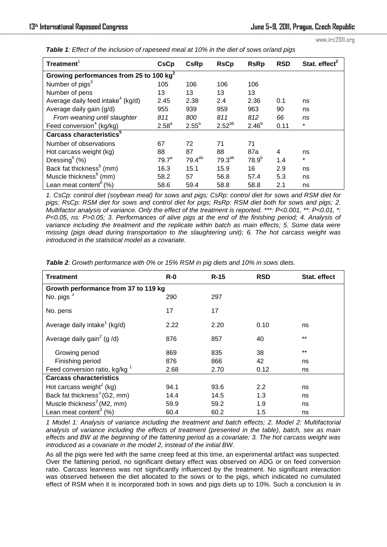www.irc2011.org

| Treatment <sup>1</sup>                              | <b>CsCp</b>       | <b>CsRp</b> | <b>RsCp</b>        | <b>RsRp</b>       | <b>RSD</b> | Stat. effect <sup>2</sup> |  |  |
|-----------------------------------------------------|-------------------|-------------|--------------------|-------------------|------------|---------------------------|--|--|
| Growing performances from 25 to 100 kg <sup>2</sup> |                   |             |                    |                   |            |                           |  |  |
| Number of pigs <sup>3</sup>                         | 105               | 106         | 106                | 106               |            |                           |  |  |
| Number of pens                                      | 13                | 13          | 13                 | 13                |            |                           |  |  |
| Average daily feed intake <sup>4</sup> (kg/d)       | 2.45              | 2.38        | 2.4                | 2.36              | 0.1        | ns                        |  |  |
| Average daily gain (g/d)                            | 955               | 939         | 959                | 963               | 90         | ns                        |  |  |
| From weaning until slaughter                        | 811               | 800         | 811                | 812               | 66         | ns                        |  |  |
| Feed conversion <sup>4</sup> (kg/kg)                | 2.58 <sup>a</sup> | $2.55^a$    | $2.52^{ab}$        | $2.46^{b}$        | 0.11       | $\star$                   |  |  |
| Carcass characteristics <sup>5</sup>                |                   |             |                    |                   |            |                           |  |  |
| Number of observations                              | 67                | 72          | 71                 | 71                |            |                           |  |  |
| Hot carcass weight (kg)                             | 88                | 87          | 88                 | 87a               | 4          | ns                        |  |  |
| Dressing $^{6}$ (%)                                 | 79.7 <sup>a</sup> | $79.4^{ab}$ | 79.3 <sup>ab</sup> | 78.9 <sup>b</sup> | 1.4        | $\star$                   |  |  |
| Back fat thickness <sup>6</sup> (mm)                | 16.3              | 15.1        | 15.9               | 16                | 2.9        | ns                        |  |  |
| Muscle thickness <sup>6</sup> (mm)                  | 58.2              | 57          | 56.8               | 57.4              | 5.3        | ns                        |  |  |
| Lean meat content <sup>6</sup> $(\%)$               | 58.6              | 59.4        | 58.8               | 58.8              | 2.1        | ns                        |  |  |

*Table 1: Effect of the inclusion of rapeseed meal at 10% in the diet of sows or/and pigs* 

*1. CsCp: control diet (soybean meal) for sows and pigs; CsRp: control diet for sows and RSM diet for pigs; RsCp: RSM diet for sows and control diet for pigs; RsRp: RSM diet both for sows and pigs; 2. Multifactor analysis of variance. Only the effect of the treatment is reported. \*\*\*: P<0.001, \*\*: P<0.01, \*: P<0.05, ns: P>0.05; 3. Performances of alive pigs at the end of the finishing period; 4. Analysis of variance including the treatment and the replicate within batch as main effects; 5. Some data were missing (pigs dead during transportation to the slaughtering unit); 6. The hot carcass weight was introduced in the statistical model as a covariate.*

| <b>Treatment</b>                         | $R - 0$ | $R-15$ | <b>RSD</b> | Stat. effect |  |  |  |  |  |
|------------------------------------------|---------|--------|------------|--------------|--|--|--|--|--|
| Growth performance from 37 to 119 kg     |         |        |            |              |  |  |  |  |  |
| No. pigs $3$                             | 290     | 297    |            |              |  |  |  |  |  |
| No. pens                                 | 17      | 17     |            |              |  |  |  |  |  |
| Average daily intake <sup>1</sup> (kg/d) | 2.22    | 2.20   | 0.10       | ns           |  |  |  |  |  |
| Average daily gain <sup>2</sup> (g /d)   | 876     | 857    | 40         | $***$        |  |  |  |  |  |
| Growing period                           | 869     | 835    | 38         | $***$        |  |  |  |  |  |
| Finishing period                         | 876     | 866    | 42         | ns           |  |  |  |  |  |
| Feed conversion ratio, $kg/kg1$          | 2.68    | 2.70   | 0.12       | ns           |  |  |  |  |  |
| <b>Carcass characteristics</b>           |         |        |            |              |  |  |  |  |  |
| Hot carcass weight <sup>2</sup> (kg)     | 94.1    | 93.6   | 2.2        | ns           |  |  |  |  |  |
| Back fat thickness <sup>3</sup> (G2, mm) | 14.4    | 14.5   | 1.3        | ns           |  |  |  |  |  |
| Muscle thickness <sup>3</sup> (M2, mm)   | 59.9    | 59.2   | 1.9        | ns           |  |  |  |  |  |
| Lean meat content <sup>3</sup> $(\%)$    | 60.4    | 60.2   | 1.5        | ns           |  |  |  |  |  |

*Table 2: Growth performance with 0% or 15% RSM in pig diets and 10% in sows diets.* 

*1 Model 1: Analysis of variance including the treatment and batch effects; 2. Model 2: Multifactorial analysis of variance including the effects of treatment (presented in the table), batch, sex as main effects and BW at the beginning of the fattening period as a covariate; 3. The hot carcass weight was introduced as a covariate in the model 2, instead of the initial BW.*

As all the pigs were fed with the same creep feed at this time, an experimental artifact was suspected. Over the fattening period, no significant dietary effect was observed on ADG or on feed conversion ratio. Carcass leanness was not significantly influenced by the treatment. No significant interaction was observed between the diet allocated to the sows or to the pigs, which indicated no cumulated effect of RSM when it is incorporated both in sows and pigs diets up to 10%. Such a conclusion is in